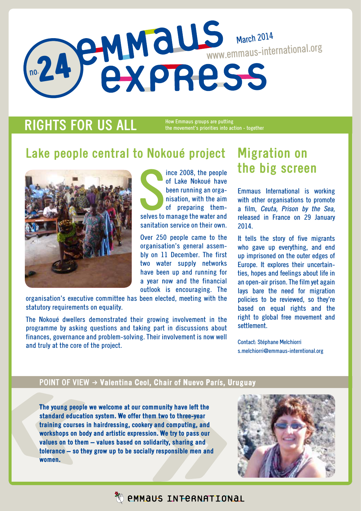# no. 24 March 2014 www.emmaus-international.org

## **RIGHTS FOR US ALL**

How Emmaus groups are putting the movement's priorities into action - together

## **Lake people central to Nokoué project**



Ince 2008, the people<br>of Lake Nokoué have<br>been running an organisation, with the aim<br>of preparing them-<br>selves to manage the water and ince 2008, the people of Lake Nokoué have been running an organisation, with the aim of preparing themsanitation service on their own.

Over 250 people came to the organisation's general assembly on 11 December. The first two water supply networks have been up and running for a year now and the financial outlook is encouraging. The

organisation's executive committee has been elected, meeting with the statutory requirements on equality.

The Nokoué dwellers demonstrated their growing involvement in the programme by asking questions and taking part in discussions about finances, governance and problem-solving. Their involvement is now well and truly at the core of the project.

## **Migration on the big screen**

Emmaus International is working with other organisations to promote a film, Ceuta, Prison by the Sea, released in France on 29 January 2014.

It tells the story of five migrants who gave up everything, and end up imprisoned on the outer edges of Europe. It explores their uncertainties, hopes and feelings about life in an open-air prison. The film yet again lays bare the need for migration policies to be reviewed, so they're based on equal rights and the right to global free movement and settlement.

Contact: Stéphane Melchiorri s.melchiorri@emmaus-interntional.org

### **POINT OF VIEW**  $\rightarrow$  **Valentina Ceol, Chair of Nuevo París, Uruguay**

The young people we welcome at our community have left the standard education system. We offer them two to three-year training courses in hairdressing, cookery and computing, and workshops on body and artistic expression. We try to pass our values on to them – values based on solidarity, sharing and tolerance – so they grow up to be socially responsible men and women.



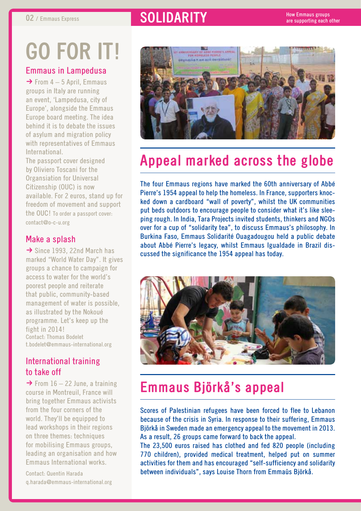## **02** / Emmaus Express **and SOLIDARITY**

# **Go for it!**

### Emmaus in Lampedusa

 $\rightarrow$  From 4 – 5 April, Emmaus groups in Italy are running an event, 'Lampedusa, city of Europe', alongside the Emmaus Europe board meeting. The idea behind it is to debate the issues of asylum and migration policy with representatives of Emmaus **International** 

The passport cover designed by Oliviero Toscani for the Organsiation for Universal Citizenship (OUC) is now available. For 2 euros, stand up for freedom of movement and support the OUC! To order a passport cover: contact@o-c-u.org

### Make a splash

 $\rightarrow$  Since 1993, 22nd March has marked "World Water Day". It gives groups a chance to campaign for access to water for the world's poorest people and reiterate that public, community-based management of water is possible, as illustrated by the Nokoué programme. Let's keep up the fight in 2014! Contact: Thomas Bodelet t.bodelet@emmaus-international.org

### International training to take off

 $\rightarrow$  From 16 – 22 June, a training course in Montreuil, France will bring together Emmaus activists from the four corners of the world. They'll be equipped to lead workshops in their regions on three themes: techniques for mobilising Emmaus groups, leading an organisation and how Emmaus International works.

Contact: Quentin Harada q.harada@emmaus-international.org



# **Appeal marked across the globe**

The four Emmaus regions have marked the 60th anniversary of Abbé Pierre's 1954 appeal to help the homeless. In France, supporters knocked down a cardboard "wall of poverty", whilst the UK communities put beds outdoors to encourage people to consider what it's like sleeping rough. In India, Tara Projects invited students, thinkers and NGOs over for a cup of "solidarity tea", to discuss Emmaus's philosophy. In Burkina Faso, Emmaus Solidarité Ouagadougou held a public debate about Abbé Pierre's legacy, whilst Emmaus Igualdade in Brazil discussed the significance the 1954 appeal has today.



## **Emmaus Björkå's appeal**

Scores of Palestinian refugees have been forced to flee to Lebanon because of the crisis in Syria. In response to their suffering, Emmaus Björkå in Sweden made an emergency appeal to the movement in 2013. As a result, 26 groups came forward to back the appeal.

The 23,500 euros raised has clothed and fed 820 people (including 770 children), provided medical treatment, helped put on summer activities for them and has encouraged "self-sufficiency and solidarity between individuals", says Louise Thorn from Emmaüs Björkå.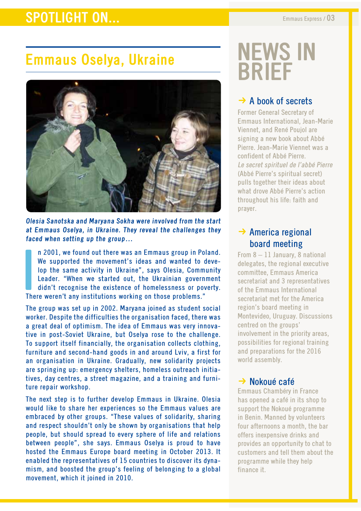## **SPOTLIGHT ON...** Emmaus Express / 03

# **Emmaus Oselya, Ukraine**



**Olesia Sanotska and Maryana Sokha were involved from the start at Emmaus Oselya, in Ukraine. They reveal the challenges they faced when setting up the group…** 

**I**<br>Ihe n 2001, we found out there was an Emmaus group in Poland. We supported the movement's ideas and wanted to develop the same activity in Ukraine", says Olesia, Community Leader. "When we started out, the Ukrainian government didn't recognise the existence of homelessness or poverty. There weren't any institutions working on those problems."

The group was set up in 2002. Maryana joined as student social worker. Despite the difficulties the organisation faced, there was a great deal of optimism. The idea of Emmaus was very innovative in post-Soviet Ukraine, but Oselya rose to the challenge. To support itself financially, the organisation collects clothing, furniture and second-hand goods in and around Lviv, a first for an organisation in Ukraine. Gradually, new solidarity projects are springing up: emergency shelters, homeless outreach initiatives, day centres, a street magazine, and a training and furniture repair workshop.

The next step is to further develop Emmaus in Ukraine. Olesia would like to share her experiences so the Emmaus values are embraced by other groups. "These values of solidarity, sharing and respect shouldn't only be shown by organisations that help people, but should spread to every sphere of life and relations between people", she says. Emmaus Oselya is proud to have hosted the Emmaus Europe board meeting in October 2013. It enabled the representatives of 15 countries to discover its dynamism, and boosted the group's feeling of belonging to a global movement, which it joined in 2010.

# **news in brief**

## $\rightarrow$  A book of secrets

Former General Secretary of Emmaus International, Jean-Marie Viennet, and René Poujol are signing a new book about Abbé Pierre. Jean-Marie Viennet was a confident of Abbé Pierre. Le secret spirituel de l'abbé Pierre (Abbé Pierre's spiritual secret) pulls together their ideas about what drove Abbé Pierre's action throughout his life: faith and prayer.

## $\rightarrow$  America regional board meeting

From 8 – 11 January, 8 national delegates, the regional executive committee, Emmaus America secretariat and 3 representatives of the Emmaus International secretariat met for the America region's board meeting in Montevideo, Uruguay. Discussions centred on the groups' involvement in the priority areas, possibilities for regional training and preparations for the 2016 world assembly.

### $\rightarrow$  Nokoué café

Emmaus Chambéry in France has opened a café in its shop to support the Nokoué programme in Benin. Manned by volunteers four afternoons a month, the bar offers inexpensive drinks and provides an opportunity to chat to customers and tell them about the programme while they help finance it.